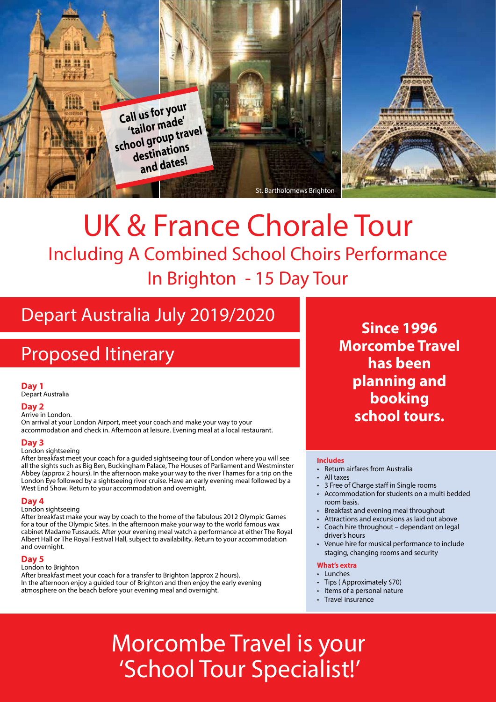

# UK & France Chorale Tour Including A Combined School Choirs Performance In Brighton - 15 Day Tour

## Depart Australia July 2019/2020

## Proposed Itinerary

### **Day 1**

Depart Australia

## **Day 2**

#### Arrive in London.

On arrival at your London Airport, meet your coach and make your way to your accommodation and check in. Afternoon at leisure. Evening meal at a local restaurant.

#### **Day 3**

#### London sightseeing

After breakfast meet your coach for a guided sightseeing tour of London where you will see all the sights such as Big Ben, Buckingham Palace, The Houses of Parliament and Westminster Abbey (approx 2 hours). In the afternoon make your way to the river Thames for a trip on the London Eye followed by a sightseeing river cruise. Have an early evening meal followed by a West End Show. Return to your accommodation and overnight.

#### **Day 4**

London sightseeing

After breakfast make your way by coach to the home of the fabulous 2012 Olympic Games for a tour of the Olympic Sites. In the afternoon make your way to the world famous wax cabinet Madame Tussauds. After your evening meal watch a performance at either The Royal Albert Hall or The Royal Festival Hall, subject to availability. Return to your accommodation and overnight.

#### **Day 5**

London to Brighton After breakfast meet your coach for a transfer to Brighton (approx 2 hours). In the afternoon enjoy a guided tour of Brighton and then enjoy the early evening atmosphere on the beach before your evening meal and overnight.

**Since 1996 Morcombe Travel has been planning and booking school tours.**

#### **Includes**

- Return airfares from Australia
- All taxes
- 3 Free of Charge staff in Single rooms
- Accommodation for students on a multi bedded room basis.
- Breakfast and evening meal throughout
- Attractions and excursions as laid out above
- Coach hire throughout dependant on legal driver's hours
- Venue hire for musical performance to include staging, changing rooms and security

#### **What's extra**

- Lunches
- Tips ( Approximately \$70)
- Items of a personal nature
- Travel insurance

Morcombe Travel is your 'School Tour Specialist!'